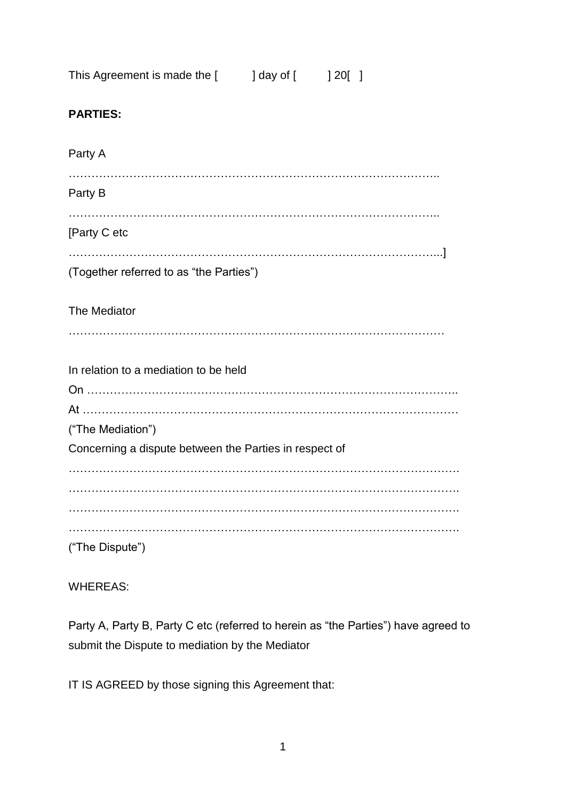| This Agreement is made the [ | ] day of [ | ] 20 [ |
|------------------------------|------------|--------|
|------------------------------|------------|--------|

# **PARTIES:**

| Party A                                                                     |
|-----------------------------------------------------------------------------|
| Party B                                                                     |
| [Party C etc                                                                |
| (Together referred to as "the Parties")                                     |
| The Mediator                                                                |
| In relation to a mediation to be held                                       |
| ("The Mediation")<br>Concerning a dispute between the Parties in respect of |
|                                                                             |
| ("The Dispute")                                                             |

# WHEREAS:

Party A, Party B, Party C etc (referred to herein as "the Parties") have agreed to submit the Dispute to mediation by the Mediator

IT IS AGREED by those signing this Agreement that: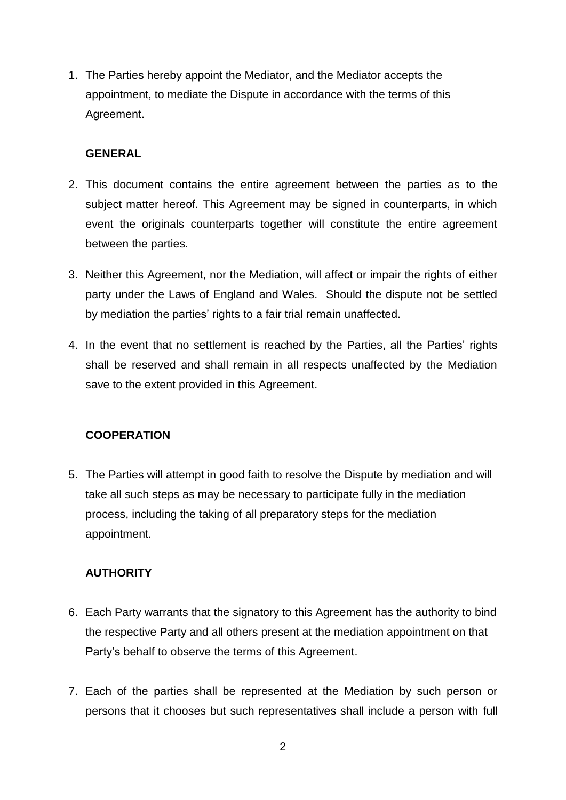1. The Parties hereby appoint the Mediator, and the Mediator accepts the appointment, to mediate the Dispute in accordance with the terms of this Agreement.

#### **GENERAL**

- 2. This document contains the entire agreement between the parties as to the subject matter hereof. This Agreement may be signed in counterparts, in which event the originals counterparts together will constitute the entire agreement between the parties.
- 3. Neither this Agreement, nor the Mediation, will affect or impair the rights of either party under the Laws of England and Wales. Should the dispute not be settled by mediation the parties' rights to a fair trial remain unaffected.
- 4. In the event that no settlement is reached by the Parties, all the Parties' rights shall be reserved and shall remain in all respects unaffected by the Mediation save to the extent provided in this Agreement.

#### **COOPERATION**

5. The Parties will attempt in good faith to resolve the Dispute by mediation and will take all such steps as may be necessary to participate fully in the mediation process, including the taking of all preparatory steps for the mediation appointment.

## **AUTHORITY**

- 6. Each Party warrants that the signatory to this Agreement has the authority to bind the respective Party and all others present at the mediation appointment on that Party's behalf to observe the terms of this Agreement.
- 7. Each of the parties shall be represented at the Mediation by such person or persons that it chooses but such representatives shall include a person with full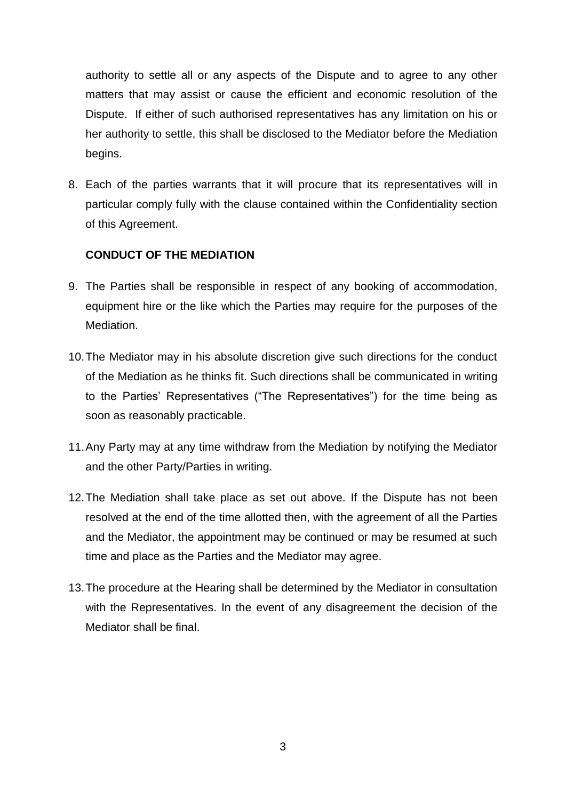authority to settle all or any aspects of the Dispute and to agree to any other matters that may assist or cause the efficient and economic resolution of the Dispute. If either of such authorised representatives has any limitation on his or her authority to settle, this shall be disclosed to the Mediator before the Mediation begins.

8. Each of the parties warrants that it will procure that its representatives will in particular comply fully with the clause contained within the Confidentiality section of this Agreement.

## **CONDUCT OF THE MEDIATION**

- 9. The Parties shall be responsible in respect of any booking of accommodation, equipment hire or the like which the Parties may require for the purposes of the Mediation.
- 10.The Mediator may in his absolute discretion give such directions for the conduct of the Mediation as he thinks fit. Such directions shall be communicated in writing to the Parties' Representatives ("The Representatives") for the time being as soon as reasonably practicable.
- 11.Any Party may at any time withdraw from the Mediation by notifying the Mediator and the other Party/Parties in writing.
- 12.The Mediation shall take place as set out above. If the Dispute has not been resolved at the end of the time allotted then, with the agreement of all the Parties and the Mediator, the appointment may be continued or may be resumed at such time and place as the Parties and the Mediator may agree.
- 13.The procedure at the Hearing shall be determined by the Mediator in consultation with the Representatives. In the event of any disagreement the decision of the Mediator shall be final.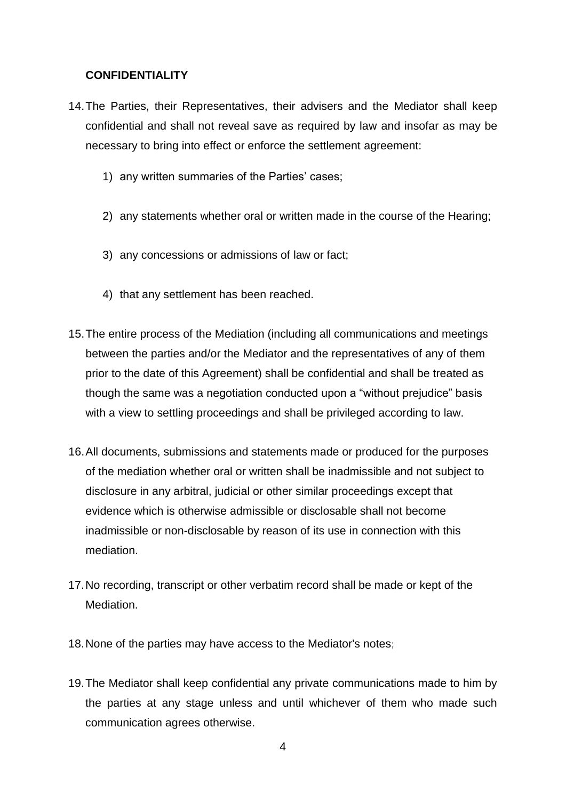## **CONFIDENTIALITY**

- 14.The Parties, their Representatives, their advisers and the Mediator shall keep confidential and shall not reveal save as required by law and insofar as may be necessary to bring into effect or enforce the settlement agreement:
	- 1) any written summaries of the Parties' cases;
	- 2) any statements whether oral or written made in the course of the Hearing;
	- 3) any concessions or admissions of law or fact;
	- 4) that any settlement has been reached.
- 15.The entire process of the Mediation (including all communications and meetings between the parties and/or the Mediator and the representatives of any of them prior to the date of this Agreement) shall be confidential and shall be treated as though the same was a negotiation conducted upon a "without prejudice" basis with a view to settling proceedings and shall be privileged according to law.
- 16.All documents, submissions and statements made or produced for the purposes of the mediation whether oral or written shall be inadmissible and not subject to disclosure in any arbitral, judicial or other similar proceedings except that evidence which is otherwise admissible or disclosable shall not become inadmissible or non-disclosable by reason of its use in connection with this mediation.
- 17.No recording, transcript or other verbatim record shall be made or kept of the **Mediation**
- 18.None of the parties may have access to the Mediator's notes;
- 19.The Mediator shall keep confidential any private communications made to him by the parties at any stage unless and until whichever of them who made such communication agrees otherwise.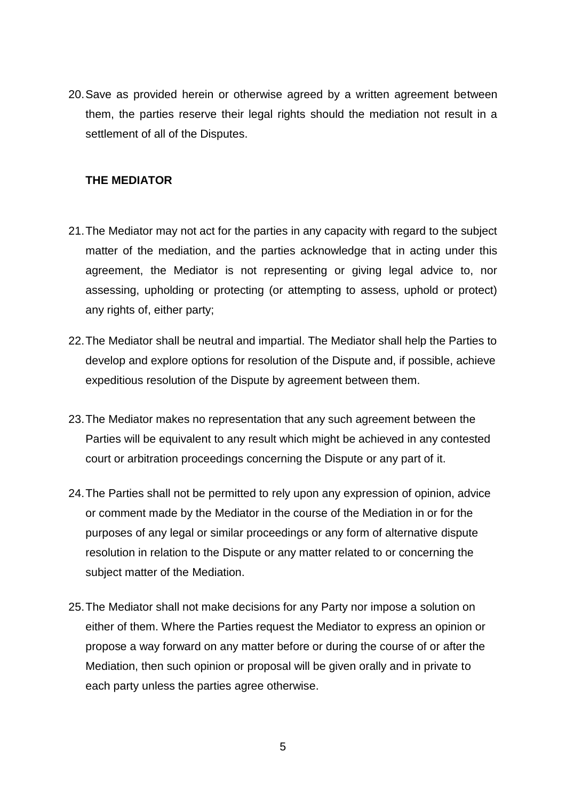20.Save as provided herein or otherwise agreed by a written agreement between them, the parties reserve their legal rights should the mediation not result in a settlement of all of the Disputes.

#### **THE MEDIATOR**

- 21.The Mediator may not act for the parties in any capacity with regard to the subject matter of the mediation, and the parties acknowledge that in acting under this agreement, the Mediator is not representing or giving legal advice to, nor assessing, upholding or protecting (or attempting to assess, uphold or protect) any rights of, either party;
- 22.The Mediator shall be neutral and impartial. The Mediator shall help the Parties to develop and explore options for resolution of the Dispute and, if possible, achieve expeditious resolution of the Dispute by agreement between them.
- 23.The Mediator makes no representation that any such agreement between the Parties will be equivalent to any result which might be achieved in any contested court or arbitration proceedings concerning the Dispute or any part of it.
- 24.The Parties shall not be permitted to rely upon any expression of opinion, advice or comment made by the Mediator in the course of the Mediation in or for the purposes of any legal or similar proceedings or any form of alternative dispute resolution in relation to the Dispute or any matter related to or concerning the subject matter of the Mediation.
- 25.The Mediator shall not make decisions for any Party nor impose a solution on either of them. Where the Parties request the Mediator to express an opinion or propose a way forward on any matter before or during the course of or after the Mediation, then such opinion or proposal will be given orally and in private to each party unless the parties agree otherwise.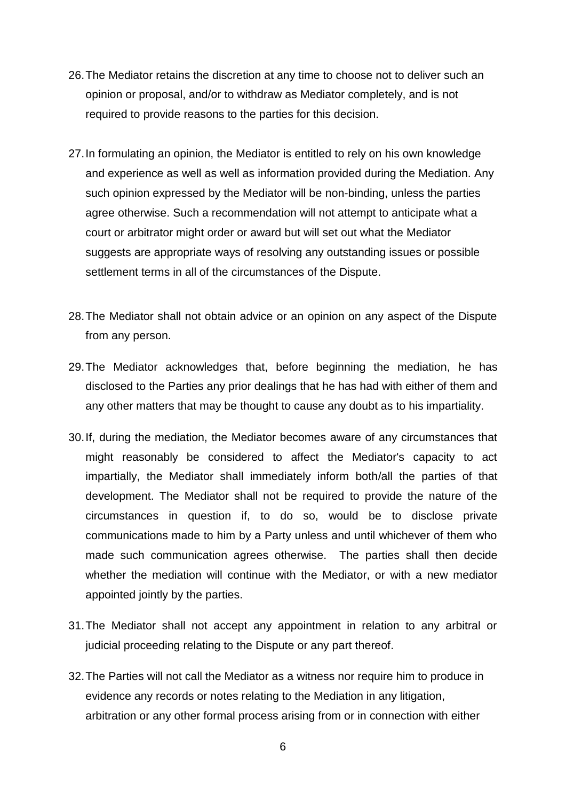- 26.The Mediator retains the discretion at any time to choose not to deliver such an opinion or proposal, and/or to withdraw as Mediator completely, and is not required to provide reasons to the parties for this decision.
- 27.In formulating an opinion, the Mediator is entitled to rely on his own knowledge and experience as well as well as information provided during the Mediation. Any such opinion expressed by the Mediator will be non-binding, unless the parties agree otherwise. Such a recommendation will not attempt to anticipate what a court or arbitrator might order or award but will set out what the Mediator suggests are appropriate ways of resolving any outstanding issues or possible settlement terms in all of the circumstances of the Dispute.
- 28.The Mediator shall not obtain advice or an opinion on any aspect of the Dispute from any person.
- 29.The Mediator acknowledges that, before beginning the mediation, he has disclosed to the Parties any prior dealings that he has had with either of them and any other matters that may be thought to cause any doubt as to his impartiality.
- 30.If, during the mediation, the Mediator becomes aware of any circumstances that might reasonably be considered to affect the Mediator's capacity to act impartially, the Mediator shall immediately inform both/all the parties of that development. The Mediator shall not be required to provide the nature of the circumstances in question if, to do so, would be to disclose private communications made to him by a Party unless and until whichever of them who made such communication agrees otherwise. The parties shall then decide whether the mediation will continue with the Mediator, or with a new mediator appointed jointly by the parties.
- 31.The Mediator shall not accept any appointment in relation to any arbitral or judicial proceeding relating to the Dispute or any part thereof.
- 32.The Parties will not call the Mediator as a witness nor require him to produce in evidence any records or notes relating to the Mediation in any litigation, arbitration or any other formal process arising from or in connection with either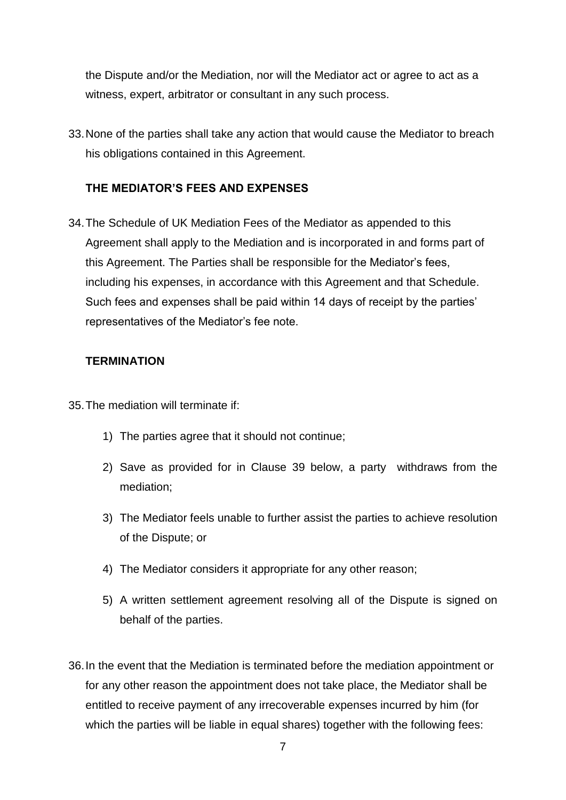the Dispute and/or the Mediation, nor will the Mediator act or agree to act as a witness, expert, arbitrator or consultant in any such process.

33.None of the parties shall take any action that would cause the Mediator to breach his obligations contained in this Agreement.

#### **THE MEDIATOR'S FEES AND EXPENSES**

34.The Schedule of UK Mediation Fees of the Mediator as appended to this Agreement shall apply to the Mediation and is incorporated in and forms part of this Agreement. The Parties shall be responsible for the Mediator's fees, including his expenses, in accordance with this Agreement and that Schedule. Such fees and expenses shall be paid within 14 days of receipt by the parties' representatives of the Mediator's fee note.

#### **TERMINATION**

- 35.The mediation will terminate if:
	- 1) The parties agree that it should not continue;
	- 2) Save as provided for in Clause 39 below, a party withdraws from the mediation;
	- 3) The Mediator feels unable to further assist the parties to achieve resolution of the Dispute; or
	- 4) The Mediator considers it appropriate for any other reason;
	- 5) A written settlement agreement resolving all of the Dispute is signed on behalf of the parties.
- 36.In the event that the Mediation is terminated before the mediation appointment or for any other reason the appointment does not take place, the Mediator shall be entitled to receive payment of any irrecoverable expenses incurred by him (for which the parties will be liable in equal shares) together with the following fees: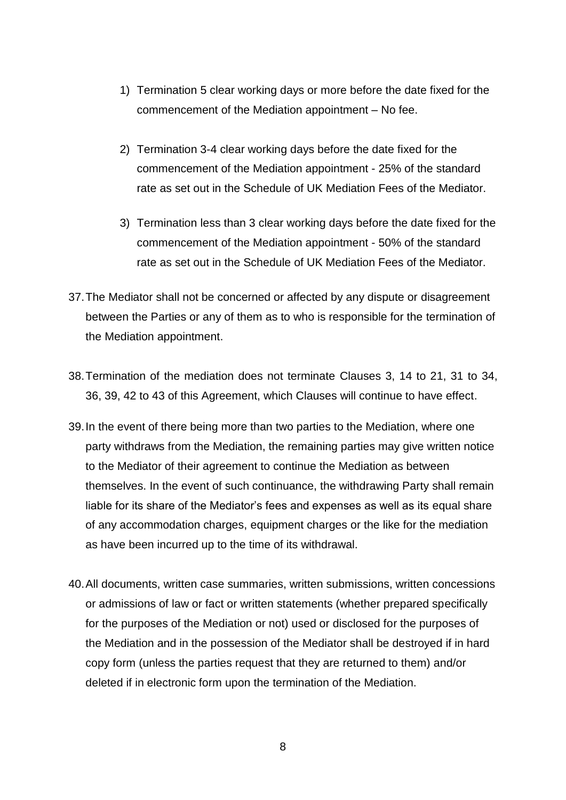- 1) Termination 5 clear working days or more before the date fixed for the commencement of the Mediation appointment – No fee.
- 2) Termination 3-4 clear working days before the date fixed for the commencement of the Mediation appointment - 25% of the standard rate as set out in the Schedule of UK Mediation Fees of the Mediator.
- 3) Termination less than 3 clear working days before the date fixed for the commencement of the Mediation appointment - 50% of the standard rate as set out in the Schedule of UK Mediation Fees of the Mediator.
- 37.The Mediator shall not be concerned or affected by any dispute or disagreement between the Parties or any of them as to who is responsible for the termination of the Mediation appointment.
- 38.Termination of the mediation does not terminate Clauses 3, 14 to 21, 31 to 34, 36, 39, 42 to 43 of this Agreement, which Clauses will continue to have effect.
- 39.In the event of there being more than two parties to the Mediation, where one party withdraws from the Mediation, the remaining parties may give written notice to the Mediator of their agreement to continue the Mediation as between themselves. In the event of such continuance, the withdrawing Party shall remain liable for its share of the Mediator's fees and expenses as well as its equal share of any accommodation charges, equipment charges or the like for the mediation as have been incurred up to the time of its withdrawal.
- 40.All documents, written case summaries, written submissions, written concessions or admissions of law or fact or written statements (whether prepared specifically for the purposes of the Mediation or not) used or disclosed for the purposes of the Mediation and in the possession of the Mediator shall be destroyed if in hard copy form (unless the parties request that they are returned to them) and/or deleted if in electronic form upon the termination of the Mediation.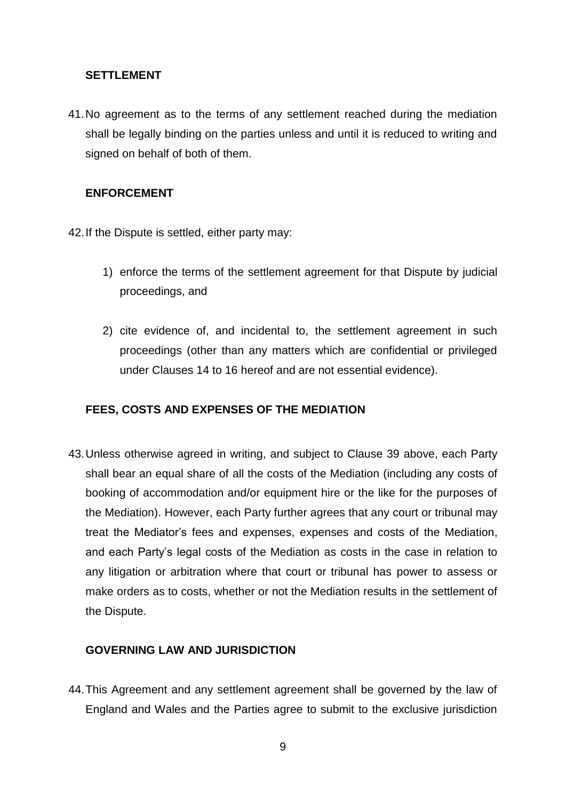#### **SETTLEMENT**

41.No agreement as to the terms of any settlement reached during the mediation shall be legally binding on the parties unless and until it is reduced to writing and signed on behalf of both of them.

#### **ENFORCEMENT**

- 42.If the Dispute is settled, either party may:
	- 1) enforce the terms of the settlement agreement for that Dispute by judicial proceedings, and
	- 2) cite evidence of, and incidental to, the settlement agreement in such proceedings (other than any matters which are confidential or privileged under Clauses 14 to 16 hereof and are not essential evidence).

## **FEES, COSTS AND EXPENSES OF THE MEDIATION**

43.Unless otherwise agreed in writing, and subject to Clause 39 above, each Party shall bear an equal share of all the costs of the Mediation (including any costs of booking of accommodation and/or equipment hire or the like for the purposes of the Mediation). However, each Party further agrees that any court or tribunal may treat the Mediator's fees and expenses, expenses and costs of the Mediation, and each Party's legal costs of the Mediation as costs in the case in relation to any litigation or arbitration where that court or tribunal has power to assess or make orders as to costs, whether or not the Mediation results in the settlement of the Dispute.

## **GOVERNING LAW AND JURISDICTION**

44.This Agreement and any settlement agreement shall be governed by the law of England and Wales and the Parties agree to submit to the exclusive jurisdiction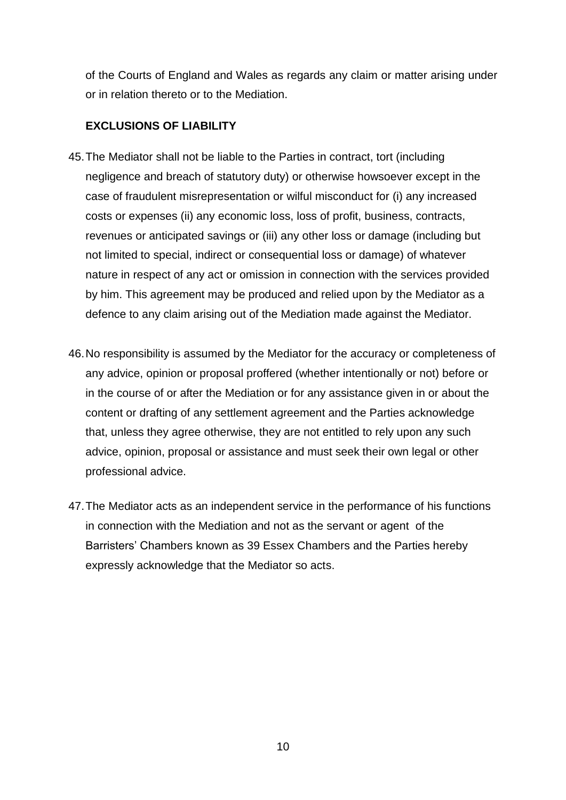of the Courts of England and Wales as regards any claim or matter arising under or in relation thereto or to the Mediation.

## **EXCLUSIONS OF LIABILITY**

- 45.The Mediator shall not be liable to the Parties in contract, tort (including negligence and breach of statutory duty) or otherwise howsoever except in the case of fraudulent misrepresentation or wilful misconduct for (i) any increased costs or expenses (ii) any economic loss, loss of profit, business, contracts, revenues or anticipated savings or (iii) any other loss or damage (including but not limited to special, indirect or consequential loss or damage) of whatever nature in respect of any act or omission in connection with the services provided by him. This agreement may be produced and relied upon by the Mediator as a defence to any claim arising out of the Mediation made against the Mediator.
- 46.No responsibility is assumed by the Mediator for the accuracy or completeness of any advice, opinion or proposal proffered (whether intentionally or not) before or in the course of or after the Mediation or for any assistance given in or about the content or drafting of any settlement agreement and the Parties acknowledge that, unless they agree otherwise, they are not entitled to rely upon any such advice, opinion, proposal or assistance and must seek their own legal or other professional advice.
- 47.The Mediator acts as an independent service in the performance of his functions in connection with the Mediation and not as the servant or agent of the Barristers' Chambers known as 39 Essex Chambers and the Parties hereby expressly acknowledge that the Mediator so acts.